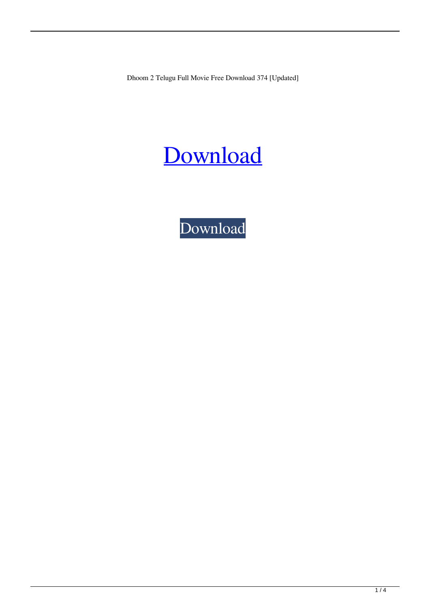Dhoom 2 Telugu Full Movie Free Download 374 [Updated]

## [Download](http://evacdir.com/cart/.unconnected/.bobble/.RGhvb20gMiBUZWx1Z3UgRnVsbCBNb3ZpZSBGcmVlIERvd25sb2FkIDM3NARGh/.ZG93bmxvYWR8ZWg5TXpCdGFIeDhNVFkxTWpRMk16QTFNSHg4TWpVM05IeDhLRTBwSUhKbFlXUXRZbXh2WnlCYlJtRnpkQ0JIUlU1ZA/.kraftmatic/)

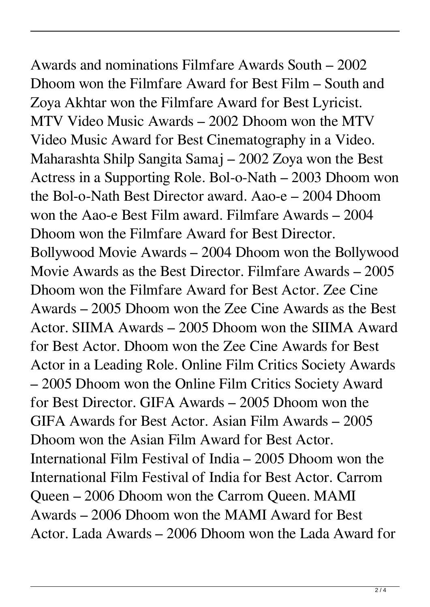Awards and nominations Filmfare Awards South – 2002 Dhoom won the Filmfare Award for Best Film – South and Zoya Akhtar won the Filmfare Award for Best Lyricist. MTV Video Music Awards – 2002 Dhoom won the MTV Video Music Award for Best Cinematography in a Video. Maharashta Shilp Sangita Samaj – 2002 Zoya won the Best Actress in a Supporting Role. Bol-o-Nath – 2003 Dhoom won the Bol-o-Nath Best Director award. Aao-e – 2004 Dhoom won the Aao-e Best Film award. Filmfare Awards – 2004 Dhoom won the Filmfare Award for Best Director. Bollywood Movie Awards – 2004 Dhoom won the Bollywood Movie Awards as the Best Director. Filmfare Awards – 2005 Dhoom won the Filmfare Award for Best Actor. Zee Cine Awards – 2005 Dhoom won the Zee Cine Awards as the Best Actor. SIIMA Awards – 2005 Dhoom won the SIIMA Award for Best Actor. Dhoom won the Zee Cine Awards for Best Actor in a Leading Role. Online Film Critics Society Awards – 2005 Dhoom won the Online Film Critics Society Award for Best Director. GIFA Awards – 2005 Dhoom won the GIFA Awards for Best Actor. Asian Film Awards – 2005 Dhoom won the Asian Film Award for Best Actor. International Film Festival of India – 2005 Dhoom won the International Film Festival of India for Best Actor. Carrom Queen – 2006 Dhoom won the Carrom Queen. MAMI Awards – 2006 Dhoom won the MAMI Award for Best Actor. Lada Awards – 2006 Dhoom won the Lada Award for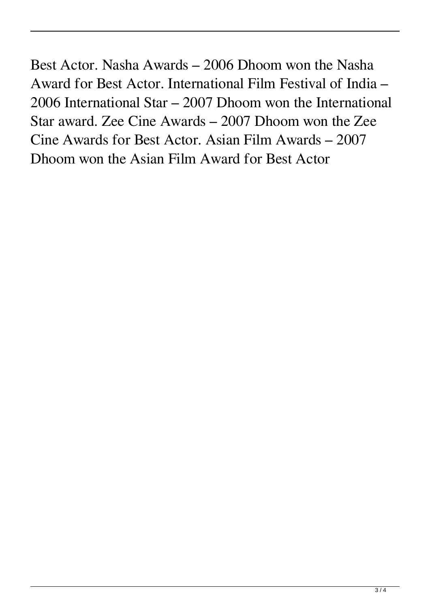Best Actor. Nasha Awards – 2006 Dhoom won the Nasha Award for Best Actor. International Film Festival of India – 2006 International Star – 2007 Dhoom won the International Star award. Zee Cine Awards – 2007 Dhoom won the Zee Cine Awards for Best Actor. Asian Film Awards – 2007 Dhoom won the Asian Film Award for Best Actor